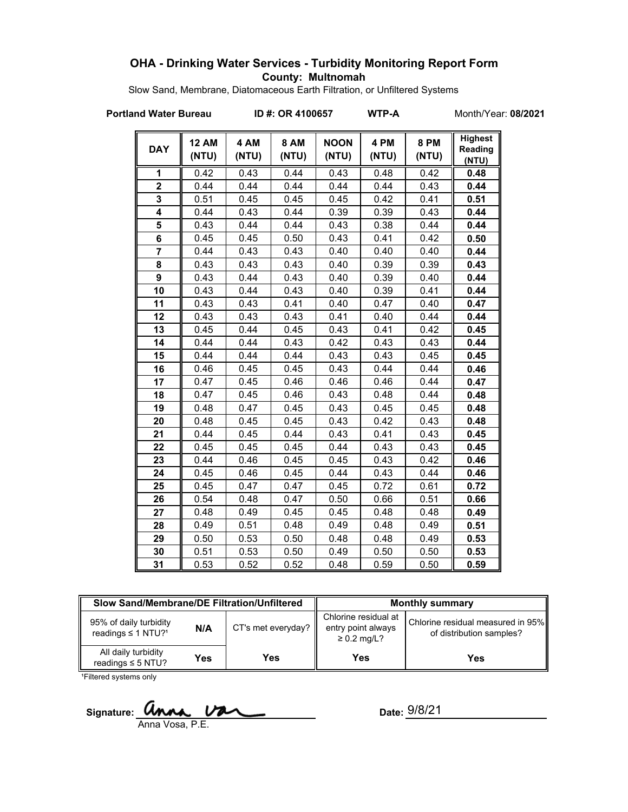# **OHA - Drinking Water Services - Turbidity Monitoring Report Form County: Multnomah**

Slow Sand, Membrane, Diatomaceous Earth Filtration, or Unfiltered Systems

**Portland Water Bureau ID #: OR 4100657 WTP-A** Month/Year: 08/2021

| <b>DAY</b>     | <b>12 AM</b><br>(NTU) | 4 AM<br>(NTU) | <b>8 AM</b><br>(NTU) | <b>NOON</b><br>(NTU) | 4 PM<br>(NTU) | <b>8 PM</b><br>(NTU) | <b>Highest</b><br>Reading<br>(NTU) |
|----------------|-----------------------|---------------|----------------------|----------------------|---------------|----------------------|------------------------------------|
| 1              | 0.42                  | 0.43          | 0.44                 | 0.43                 | 0.48          | 0.42                 | 0.48                               |
| $\overline{2}$ | 0.44                  | 0.44          | 0.44                 | 0.44                 | 0.44          | 0.43                 | 0.44                               |
| 3              | 0.51                  | 0.45          | 0.45                 | 0.45                 | 0.42          | 0.41                 | 0.51                               |
| 4              | 0.44                  | 0.43          | 0.44                 | 0.39                 | 0.39          | 0.43                 | 0.44                               |
| 5              | 0.43                  | 0.44          | 0.44                 | 0.43                 | 0.38          | 0.44                 | 0.44                               |
| 6              | 0.45                  | 0.45          | 0.50                 | 0.43                 | 0.41          | 0.42                 | 0.50                               |
| $\overline{7}$ | 0.44                  | 0.43          | 0.43                 | 0.40                 | 0.40          | 0.40                 | 0.44                               |
| 8              | 0.43                  | 0.43          | 0.43                 | 0.40                 | 0.39          | 0.39                 | 0.43                               |
| 9              | 0.43                  | 0.44          | 0.43                 | 0.40                 | 0.39          | 0.40                 | 0.44                               |
| 10             | 0.43                  | 0.44          | 0.43                 | 0.40                 | 0.39          | 0.41                 | 0.44                               |
| 11             | 0.43                  | 0.43          | 0.41                 | 0.40                 | 0.47          | 0.40                 | 0.47                               |
| 12             | 0.43                  | 0.43          | 0.43                 | 0.41                 | 0.40          | 0.44                 | 0.44                               |
| 13             | 0.45                  | 0.44          | 0.45                 | 0.43                 | 0.41          | 0.42                 | 0.45                               |
| 14             | 0.44                  | 0.44          | 0.43                 | 0.42                 | 0.43          | 0.43                 | 0.44                               |
| 15             | 0.44                  | 0.44          | 0.44                 | 0.43                 | 0.43          | 0.45                 | 0.45                               |
| 16             | 0.46                  | 0.45          | 0.45                 | 0.43                 | 0.44          | 0.44                 | 0.46                               |
| 17             | 0.47                  | 0.45          | 0.46                 | 0.46                 | 0.46          | 0.44                 | 0.47                               |
| 18             | 0.47                  | 0.45          | 0.46                 | 0.43                 | 0.48          | 0.44                 | 0.48                               |
| 19             | 0.48                  | 0.47          | 0.45                 | 0.43                 | 0.45          | 0.45                 | 0.48                               |
| 20             | 0.48                  | 0.45          | 0.45                 | 0.43                 | 0.42          | 0.43                 | 0.48                               |
| 21             | 0.44                  | 0.45          | 0.44                 | 0.43                 | 0.41          | 0.43                 | 0.45                               |
| 22             | 0.45                  | 0.45          | 0.45                 | 0.44                 | 0.43          | 0.43                 | 0.45                               |
| 23             | 0.44                  | 0.46          | 0.45                 | 0.45                 | 0.43          | 0.42                 | 0.46                               |
| 24             | 0.45                  | 0.46          | 0.45                 | 0.44                 | 0.43          | 0.44                 | 0.46                               |
| 25             | 0.45                  | 0.47          | 0.47                 | 0.45                 | 0.72          | 0.61                 | 0.72                               |
| 26             | 0.54                  | 0.48          | 0.47                 | 0.50                 | 0.66          | 0.51                 | 0.66                               |
| 27             | 0.48                  | 0.49          | 0.45                 | 0.45                 | 0.48          | 0.48                 | 0.49                               |
| 28             | 0.49                  | 0.51          | 0.48                 | 0.49                 | 0.48          | 0.49                 | 0.51                               |
| 29             | 0.50                  | 0.53          | 0.50                 | 0.48                 | 0.48          | 0.49                 | 0.53                               |
| 30             | 0.51                  | 0.53          | 0.50                 | 0.49                 | 0.50          | 0.50                 | 0.53                               |
| 31             | 0.53                  | 0.52          | 0.52                 | 0.48                 | 0.59          | 0.50                 | 0.59                               |

| Slow Sand/Membrane/DE Filtration/Unfiltered                          |     |                    | <b>Monthly summary</b>                                         |                                                               |  |
|----------------------------------------------------------------------|-----|--------------------|----------------------------------------------------------------|---------------------------------------------------------------|--|
| 95% of daily turbidity<br>N/A<br>readings $\leq$ 1 NTU? <sup>1</sup> |     | CT's met everyday? | Chlorine residual at<br>entry point always<br>$\geq 0.2$ mg/L? | Chlorine residual measured in 95%<br>of distribution samples? |  |
| All daily turbidity<br>readings $\leq$ 5 NTU?                        | Yes | Yes                | Yes                                                            | Yes                                                           |  |

<sup>1</sup>Filtered systems only

Signature: **UNNA.**  $\overline{V}$ Anna Vosa, P.E.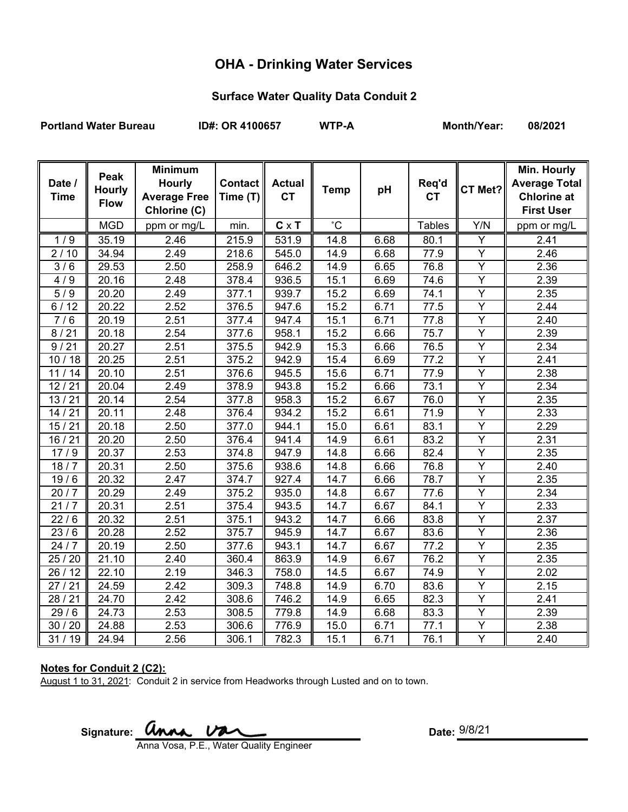# **OHA - Drinking Water Services**

## **Surface Water Quality Data Conduit 2**

Portland Water Bureau **ID#: OR 4100657** WTP-A Month/Year: 08/2021

| Date /<br><b>Time</b> | Peak<br><b>Hourly</b><br><b>Flow</b> | <b>Minimum</b><br><b>Hourly</b><br><b>Average Free</b><br>Chlorine (C) | <b>Contact</b><br>Time (T) | <b>Actual</b><br><b>CT</b> | <b>Temp</b>  | pH   | Req'd<br><b>CT</b> | CT Met?                 | Min. Hourly<br><b>Average Total</b><br><b>Chlorine at</b><br><b>First User</b> |
|-----------------------|--------------------------------------|------------------------------------------------------------------------|----------------------------|----------------------------|--------------|------|--------------------|-------------------------|--------------------------------------------------------------------------------|
|                       | <b>MGD</b>                           | ppm or mg/L                                                            | min.                       | $C \times T$               | $^{\circ}$ C |      | <b>Tables</b>      | Y/N                     | ppm or mg/L                                                                    |
| 1/9                   | 35.19                                | 2.46                                                                   | 215.9                      | 531.9                      | 14.8         | 6.68 | 80.1               | Y                       | 2.41                                                                           |
| 2/10                  | 34.94                                | 2.49                                                                   | 218.6                      | 545.0                      | 14.9         | 6.68 | 77.9               | Y                       | 2.46                                                                           |
| 3/6                   | 29.53                                | 2.50                                                                   | 258.9                      | 646.2                      | 14.9         | 6.65 | 76.8               | Y                       | 2.36                                                                           |
| 4/9                   | 20.16                                | 2.48                                                                   | 378.4                      | 936.5                      | 15.1         | 6.69 | 74.6               | $\overline{Y}$          | 2.39                                                                           |
| 5/9                   | 20.20                                | 2.49                                                                   | 377.1                      | 939.7                      | 15.2         | 6.69 | 74.1               | Y                       | 2.35                                                                           |
| 6/12                  | 20.22                                | 2.52                                                                   | 376.5                      | 947.6                      | 15.2         | 6.71 | 77.5               | Y                       | 2.44                                                                           |
| $\frac{1}{7}$ 6       | 20.19                                | 2.51                                                                   | 377.4                      | 947.4                      | 15.1         | 6.71 | 77.8               | $\overline{Y}$          | 2.40                                                                           |
| 8/21                  | 20.18                                | 2.54                                                                   | 377.6                      | 958.1                      | 15.2         | 6.66 | 75.7               | Y                       | 2.39                                                                           |
| 9/21                  | 20.27                                | 2.51                                                                   | 375.5                      | 942.9                      | 15.3         | 6.66 | 76.5               | $\overline{\mathsf{Y}}$ | 2.34                                                                           |
| 10/18                 | 20.25                                | 2.51                                                                   | 375.2                      | 942.9                      | 15.4         | 6.69 | 77.2               | $\overline{Y}$          | 2.41                                                                           |
| 11/14                 | 20.10                                | 2.51                                                                   | 376.6                      | 945.5                      | 15.6         | 6.71 | 77.9               | $\overline{Y}$          | 2.38                                                                           |
| 12/21                 | 20.04                                | 2.49                                                                   | 378.9                      | 943.8                      | 15.2         | 6.66 | 73.1               | Y                       | 2.34                                                                           |
| 13/21                 | 20.14                                | 2.54                                                                   | 377.8                      | 958.3                      | 15.2         | 6.67 | 76.0               | $\overline{Y}$          | 2.35                                                                           |
| 14/21                 | 20.11                                | 2.48                                                                   | 376.4                      | 934.2                      | 15.2         | 6.61 | 71.9               | $\overline{Y}$          | 2.33                                                                           |
| 15/21                 | 20.18                                | 2.50                                                                   | 377.0                      | 944.1                      | 15.0         | 6.61 | 83.1               | $\overline{Y}$          | 2.29                                                                           |
| 16/21                 | 20.20                                | 2.50                                                                   | 376.4                      | 941.4                      | 14.9         | 6.61 | 83.2               | $\overline{\mathsf{Y}}$ | 2.31                                                                           |
| 17/9                  | 20.37                                | 2.53                                                                   | 374.8                      | 947.9                      | 14.8         | 6.66 | 82.4               | $\overline{Y}$          | 2.35                                                                           |
| 18/7                  | 20.31                                | 2.50                                                                   | 375.6                      | 938.6                      | 14.8         | 6.66 | 76.8               | $\overline{Y}$          | 2.40                                                                           |
| 19/6                  | 20.32                                | 2.47                                                                   | 374.7                      | 927.4                      | 14.7         | 6.66 | 78.7               | $\overline{Y}$          | 2.35                                                                           |
| 20/7                  | 20.29                                | 2.49                                                                   | 375.2                      | 935.0                      | 14.8         | 6.67 | 77.6               | $\overline{\mathsf{Y}}$ | 2.34                                                                           |
| 21/7                  | 20.31                                | 2.51                                                                   | 375.4                      | 943.5                      | 14.7         | 6.67 | 84.1               | $\overline{Y}$          | 2.33                                                                           |
| 22/6                  | 20.32                                | 2.51                                                                   | 375.1                      | 943.2                      | 14.7         | 6.66 | 83.8               | Υ                       | 2.37                                                                           |
| 23/6                  | 20.28                                | 2.52                                                                   | 375.7                      | 945.9                      | 14.7         | 6.67 | 83.6               | $\overline{Y}$          | 2.36                                                                           |
| 24/7                  | 20.19                                | 2.50                                                                   | 377.6                      | 943.1                      | 14.7         | 6.67 | 77.2               | Y                       | 2.35                                                                           |
| 25 / 20               | $\overline{2}1.10$                   | 2.40                                                                   | 360.4                      | 863.9                      | 14.9         | 6.67 | 76.2               | Y                       | 2.35                                                                           |
| 26 / 12               | 22.10                                | 2.19                                                                   | 346.3                      | 758.0                      | 14.5         | 6.67 | 74.9               | $\overline{Y}$          | 2.02                                                                           |
| 27/21                 | 24.59                                | 2.42                                                                   | 309.3                      | 748.8                      | 14.9         | 6.70 | 83.6               | $\overline{Y}$          | 2.15                                                                           |
| 28/21                 | 24.70                                | 2.42                                                                   | 308.6                      | 746.2                      | 14.9         | 6.65 | 82.3               | $\overline{Y}$          | 2.41                                                                           |
| 29/6                  | 24.73                                | 2.53                                                                   | 308.5                      | 779.8                      | 14.9         | 6.68 | 83.3               | Y                       | 2.39                                                                           |
| 30 / 20               | 24.88                                | 2.53                                                                   | 306.6                      | 776.9                      | 15.0         | 6.71 | 77.1               | Ÿ                       | 2.38                                                                           |
| 31/19                 | 24.94                                | 2.56                                                                   | 306.1                      | 782.3                      | 15.1         | 6.71 | 76.1               | Y                       | 2.40                                                                           |

### **Notes for Conduit 2 (C2):**

August 1 to 31, 2021: Conduit 2 in service from Headworks through Lusted and on to town.

Signature: *Unna Va* Anna Vosa, P.E., Water Quality Engineer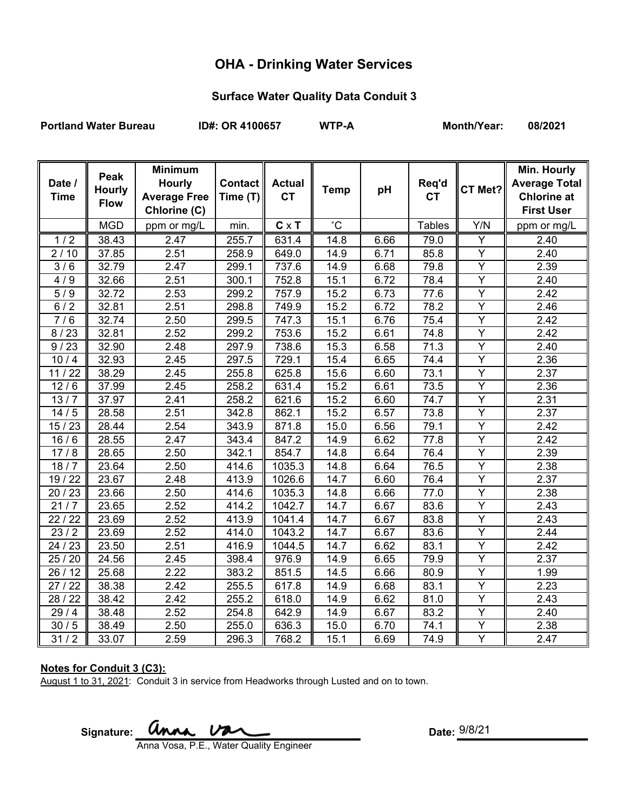# **OHA - Drinking Water Services**

## **Surface Water Quality Data Conduit 3**

Portland Water Bureau **ID#: OR 4100657** WTP-A Month/Year: 08/2021

| Date /<br><b>Time</b> | Peak<br><b>Hourly</b><br><b>Flow</b> | <b>Minimum</b><br><b>Hourly</b><br><b>Average Free</b><br>Chlorine (C) | <b>Contact</b><br>Time (T) | <b>Actual</b><br><b>CT</b> | <b>Temp</b>     | pH   | Req'd<br><b>CT</b> | CT Met?        | Min. Hourly<br><b>Average Total</b><br><b>Chlorine at</b><br><b>First User</b> |
|-----------------------|--------------------------------------|------------------------------------------------------------------------|----------------------------|----------------------------|-----------------|------|--------------------|----------------|--------------------------------------------------------------------------------|
|                       | <b>MGD</b>                           | ppm or mg/L                                                            | min.                       | $C \times T$               | $\rm ^{\circ}C$ |      | <b>Tables</b>      | Y/N            | ppm or mg/L                                                                    |
| 1/2                   | 38.43                                | 2.47                                                                   | 255.7                      | 631.4                      | 14.8            | 6.66 | 79.0               | Υ              | 2.40                                                                           |
| 2/10                  | 37.85                                | 2.51                                                                   | 258.9                      | 649.0                      | 14.9            | 6.71 | 85.8               | $\overline{Y}$ | 2.40                                                                           |
| 3/6                   | 32.79                                | 2.47                                                                   | 299.1                      | 737.6                      | 14.9            | 6.68 | 79.8               | Y              | 2.39                                                                           |
| 4/9                   | 32.66                                | 2.51                                                                   | 300.1                      | 752.8                      | 15.1            | 6.72 | 78.4               | $\overline{Y}$ | 2.40                                                                           |
| 5/9                   | 32.72                                | 2.53                                                                   | 299.2                      | 757.9                      | 15.2            | 6.73 | 77.6               | Y              | 2.42                                                                           |
| 6/2                   | 32.81                                | 2.51                                                                   | 298.8                      | 749.9                      | 15.2            | 6.72 | 78.2               | Υ              | 2.46                                                                           |
| 7/6                   | 32.74                                | 2.50                                                                   | 299.5                      | 747.3                      | 15.1            | 6.76 | 75.4               | Y              | 2.42                                                                           |
| 8/23                  | 32.81                                | 2.52                                                                   | 299.2                      | 753.6                      | 15.2            | 6.61 | 74.8               | Y              | 2.42                                                                           |
| 9/23                  | 32.90                                | 2.48                                                                   | 297.9                      | 738.6                      | 15.3            | 6.58 | 71.3               | Y              | 2.40                                                                           |
| 10/4                  | 32.93                                | 2.45                                                                   | 297.5                      | 729.1                      | 15.4            | 6.65 | 74.4               | Y              | 2.36                                                                           |
| 11/22                 | 38.29                                | $\overline{2.45}$                                                      | 255.8                      | 625.8                      | 15.6            | 6.60 | 73.1               | $\overline{Y}$ | 2.37                                                                           |
| 12/6                  | 37.99                                | 2.45                                                                   | 258.2                      | 631.4                      | 15.2            | 6.61 | 73.5               | $\overline{Y}$ | 2.36                                                                           |
| 13/7                  | 37.97                                | 2.41                                                                   | 258.2                      | 621.6                      | 15.2            | 6.60 | 74.7               | $\overline{Y}$ | 2.31                                                                           |
| 14/5                  | 28.58                                | 2.51                                                                   | 342.8                      | 862.1                      | 15.2            | 6.57 | 73.8               | Ÿ              | 2.37                                                                           |
| 15/23                 | 28.44                                | 2.54                                                                   | 343.9                      | 871.8                      | 15.0            | 6.56 | 79.1               | Y              | 2.42                                                                           |
| 16/6                  | 28.55                                | 2.47                                                                   | 343.4                      | 847.2                      | 14.9            | 6.62 | 77.8               | $\overline{Y}$ | 2.42                                                                           |
| 17/8                  | 28.65                                | 2.50                                                                   | 342.1                      | 854.7                      | 14.8            | 6.64 | 76.4               | Y              | 2.39                                                                           |
| 18/7                  | 23.64                                | 2.50                                                                   | 414.6                      | 1035.3                     | 14.8            | 6.64 | 76.5               | $\overline{Y}$ | 2.38                                                                           |
| 19 / 22               | 23.67                                | 2.48                                                                   | 413.9                      | 1026.6                     | 14.7            | 6.60 | 76.4               | Υ              | 2.37                                                                           |
| 20/23                 | 23.66                                | 2.50                                                                   | 414.6                      | 1035.3                     | 14.8            | 6.66 | 77.0               | $\overline{Y}$ | 2.38                                                                           |
| 21/7                  | 23.65                                | 2.52                                                                   | 414.2                      | 1042.7                     | 14.7            | 6.67 | 83.6               | Y              | 2.43                                                                           |
| 22/22                 | 23.69                                | 2.52                                                                   | 413.9                      | 1041.4                     | 14.7            | 6.67 | 83.8               | Y              | 2.43                                                                           |
| 23/2                  | 23.69                                | 2.52                                                                   | 414.0                      | 1043.2                     | 14.7            | 6.67 | 83.6               | Υ              | 2.44                                                                           |
| 24 / 23               | 23.50                                | 2.51                                                                   | 416.9                      | 1044.5                     | 14.7            | 6.62 | 83.1               | $\overline{Y}$ | 2.42                                                                           |
| 25 / 20               | 24.56                                | 2.45                                                                   | 398.4                      | 976.9                      | 14.9            | 6.65 | 79.9               | Υ              | 2.37                                                                           |
| 26/12                 | 25.68                                | 2.22                                                                   | 383.2                      | 851.5                      | 14.5            | 6.66 | 80.9               | Y              | 1.99                                                                           |
| 27/22                 | 38.38                                | 2.42                                                                   | 255.5                      | 617.8                      | 14.9            | 6.68 | 83.1               | Y              | 2.23                                                                           |
| 28 / 22               | 38.42                                | 2.42                                                                   | 255.2                      | 618.0                      | 14.9            | 6.62 | 81.0               | $\overline{Y}$ | 2.43                                                                           |
| 29/4                  | 38.48                                | 2.52                                                                   | 254.8                      | 642.9                      | 14.9            | 6.67 | 83.2               | Y              | 2.40                                                                           |
| 30/5                  | 38.49                                | 2.50                                                                   | 255.0                      | 636.3                      | 15.0            | 6.70 | 74.1               | Y              | 2.38                                                                           |
| 31/2                  | 33.07                                | 2.59                                                                   | 296.3                      | 768.2                      | 15.1            | 6.69 | 74.9               | Y              | 2.47                                                                           |

### **Notes for Conduit 3 (C3):**

August 1 to 31, 2021: Conduit 3 in service from Headworks through Lusted and on to town.

Signature: **Anna** Va Anna Vosa, P.E., Water Quality Engineer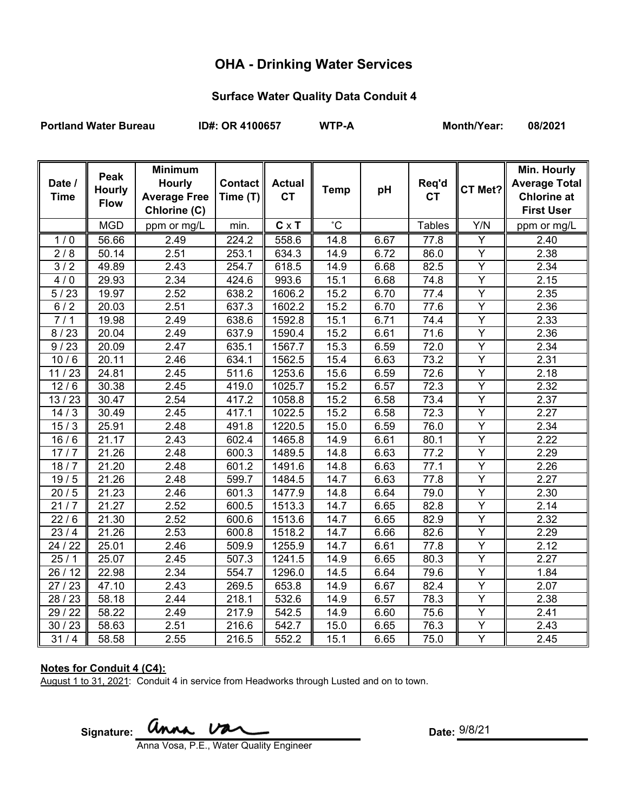# **OHA - Drinking Water Services**

## **Surface Water Quality Data Conduit 4**

Portland Water Bureau **ID#: OR 4100657** WTP-A Month/Year: 08/2021

| Date /<br><b>Time</b> | Peak<br><b>Hourly</b><br><b>Flow</b> | <b>Minimum</b><br><b>Hourly</b><br><b>Average Free</b><br>Chlorine (C) | <b>Contact</b><br>Time (T) | <b>Actual</b><br><b>CT</b> | <b>Temp</b>     | pH   | Req'd<br><b>CT</b> | CT Met?                 | Min. Hourly<br><b>Average Total</b><br><b>Chlorine at</b><br><b>First User</b> |
|-----------------------|--------------------------------------|------------------------------------------------------------------------|----------------------------|----------------------------|-----------------|------|--------------------|-------------------------|--------------------------------------------------------------------------------|
|                       | <b>MGD</b>                           | ppm or mg/L                                                            | min.                       | $C \times T$               | $\rm ^{\circ}C$ |      | <b>Tables</b>      | Y/N                     | ppm or mg/L                                                                    |
| 1/0                   | 56.66                                | 2.49                                                                   | 224.2                      | 558.6                      | 14.8            | 6.67 | 77.8               | Y                       | 2.40                                                                           |
| 2/8                   | 50.14                                | 2.51                                                                   | 253.1                      | 634.3                      | 14.9            | 6.72 | 86.0               | $\overline{Y}$          | 2.38                                                                           |
| 3/2                   | 49.89                                | 2.43                                                                   | 254.7                      | 618.5                      | 14.9            | 6.68 | 82.5               | Y                       | 2.34                                                                           |
| 4/0                   | 29.93                                | 2.34                                                                   | 424.6                      | 993.6                      | 15.1            | 6.68 | 74.8               | Y                       | 2.15                                                                           |
| 5/23                  | 19.97                                | 2.52                                                                   | 638.2                      | 1606.2                     | 15.2            | 6.70 | 77.4               | Y                       | 2.35                                                                           |
| 6/2                   | 20.03                                | 2.51                                                                   | 637.3                      | 1602.2                     | 15.2            | 6.70 | 77.6               | Y                       | 2.36                                                                           |
| 7/1                   | 19.98                                | 2.49                                                                   | 638.6                      | 1592.8                     | 15.1            | 6.71 | 74.4               | Y                       | 2.33                                                                           |
| 8/23                  | 20.04                                | 2.49                                                                   | 637.9                      | 1590.4                     | 15.2            | 6.61 | 71.6               | Y                       | 2.36                                                                           |
| 9/23                  | 20.09                                | 2.47                                                                   | 635.1                      | 1567.7                     | 15.3            | 6.59 | 72.0               | Y                       | 2.34                                                                           |
| 10/6                  | 20.11                                | 2.46                                                                   | 634.1                      | 1562.5                     | 15.4            | 6.63 | 73.2               | Y                       | 2.31                                                                           |
| 11/23                 | 24.81                                | $\overline{2}.45$                                                      | 511.6                      | 1253.6                     | 15.6            | 6.59 | 72.6               | $\overline{Y}$          | 2.18                                                                           |
| 12/6                  | 30.38                                | 2.45                                                                   | 419.0                      | 1025.7                     | 15.2            | 6.57 | 72.3               | $\overline{Y}$          | 2.32                                                                           |
| 13/23                 | 30.47                                | 2.54                                                                   | 417.2                      | 1058.8                     | 15.2            | 6.58 | 73.4               | $\overline{Y}$          | 2.37                                                                           |
| 14/3                  | 30.49                                | 2.45                                                                   | $\overline{4}17.1$         | 1022.5                     | 15.2            | 6.58 | 72.3               | $\overline{\mathsf{Y}}$ | 2.27                                                                           |
| 15/3                  | 25.91                                | 2.48                                                                   | 491.8                      | 1220.5                     | 15.0            | 6.59 | 76.0               | Y                       | 2.34                                                                           |
| 16/6                  | 21.17                                | 2.43                                                                   | 602.4                      | 1465.8                     | 14.9            | 6.61 | 80.1               | $\overline{\mathsf{Y}}$ | 2.22                                                                           |
| 17/7                  | 21.26                                | 2.48                                                                   | 600.3                      | 1489.5                     | 14.8            | 6.63 | 77.2               | Y                       | 2.29                                                                           |
| 18/7                  | 21.20                                | 2.48                                                                   | 601.2                      | 1491.6                     | 14.8            | 6.63 | 77.1               | $\overline{Y}$          | 2.26                                                                           |
| 19/5                  | 21.26                                | 2.48                                                                   | 599.7                      | 1484.5                     | 14.7            | 6.63 | 77.8               | Y                       | 2.27                                                                           |
| 20/5                  | 21.23                                | 2.46                                                                   | 601.3                      | 1477.9                     | 14.8            | 6.64 | 79.0               | Ÿ                       | 2.30                                                                           |
| 21/7                  | 21.27                                | 2.52                                                                   | 600.5                      | 1513.3                     | 14.7            | 6.65 | 82.8               | Ÿ                       | 2.14                                                                           |
| 22/6                  | 21.30                                | 2.52                                                                   | 600.6                      | 1513.6                     | 14.7            | 6.65 | 82.9               | Υ                       | 2.32                                                                           |
| 23/4                  | 21.26                                | 2.53                                                                   | 600.8                      | 1518.2                     | 14.7            | 6.66 | 82.6               | Y                       | 2.29                                                                           |
| 24 / 22               | 25.01                                | 2.46                                                                   | 509.9                      | 1255.9                     | 14.7            | 6.61 | 77.8               | Y                       | 2.12                                                                           |
| 25/1                  | 25.07                                | 2.45                                                                   | 507.3                      | 1241.5                     | 14.9            | 6.65 | 80.3               | Y                       | 2.27                                                                           |
| 26/12                 | 22.98                                | 2.34                                                                   | 554.7                      | 1296.0                     | 14.5            | 6.64 | 79.6               | $\overline{Y}$          | 1.84                                                                           |
| 27/23                 | 47.10                                | 2.43                                                                   | 269.5                      | 653.8                      | 14.9            | 6.67 | 82.4               | Y                       | 2.07                                                                           |
| 28 / 23               | 58.18                                | 2.44                                                                   | 218.1                      | 532.6                      | 14.9            | 6.57 | 78.3               | $\overline{Y}$          | 2.38                                                                           |
| 29 / 22               | 58.22                                | 2.49                                                                   | 217.9                      | 542.5                      | 14.9            | 6.60 | 75.6               | Y                       | 2.41                                                                           |
| 30/23                 | 58.63                                | 2.51                                                                   | 216.6                      | 542.7                      | 15.0            | 6.65 | 76.3               | Y                       | 2.43                                                                           |
| 31/4                  | 58.58                                | 2.55                                                                   | 216.5                      | 552.2                      | 15.1            | 6.65 | 75.0               | Y                       | 2.45                                                                           |

### **Notes for Conduit 4 (C4):**

August 1 to 31, 2021: Conduit 4 in service from Headworks through Lusted and on to town.

Signature: **Anna** Va

Anna Vosa, P.E., Water Quality Engineer